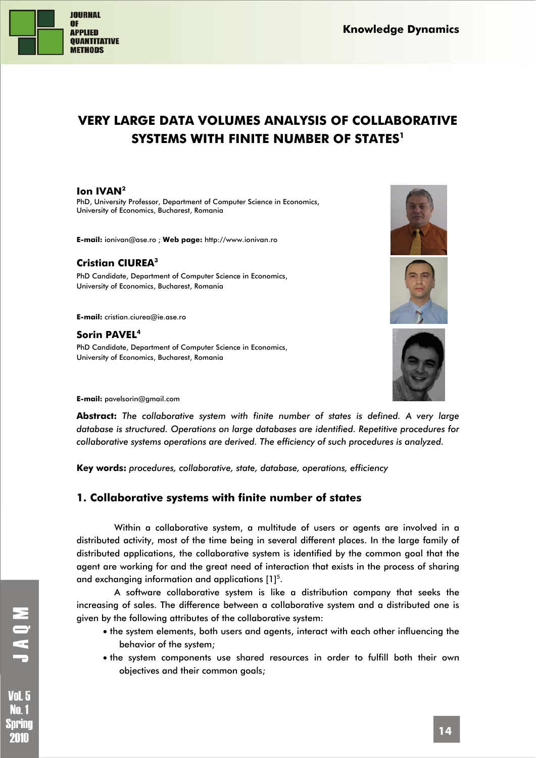

# **VERY LARGE DATA VOLUMES ANALYSIS OF COLLABORATIVE SYSTEMS WITH FINITE NUMBER OF STATES1**

### **Ion IVAN2**

PhD, University Professor, Department of Computer Science in Economics, University of Economics, Bucharest, Romania

**E-mail:** ionivan@ase.ro ; **Web page:** http://www.ionivan.ro

### **Cristian CIUREA3**

PhD Candidate, Department of Computer Science in Economics, University of Economics, Bucharest, Romania

**E-mail:** cristian.ciurea@ie.ase.ro

#### **Sorin PAVEL4**

PhD Candidate, Department of Computer Science in Economics, University of Economics, Bucharest, Romania





**E-mail:** pavelsorin@gmail.com

**Abstract:** *The collaborative system with finite number of states is defined. A very large database is structured. Operations on large databases are identified. Repetitive procedures for collaborative systems operations are derived. The efficiency of such procedures is analyzed.* 

**Key words:** *procedures, collaborative, state, database, operations, efficiency* 

## **1. Collaborative systems with finite number of states**

Within a collaborative system, a multitude of users or agents are involved in a distributed activity, most of the time being in several different places. In the large family of distributed applications, the collaborative system is identified by the common goal that the agent are working for and the great need of interaction that exists in the process of sharing and exchanging information and applications  $[1]^{5}$ .

A software collaborative system is like a distribution company that seeks the increasing of sales. The difference between a collaborative system and a distributed one is given by the following attributes of the collaborative system:

- the system elements, both users and agents, interact with each other influencing the behavior of the system;
- the system components use shared resources in order to fulfill both their own objectives and their common goals;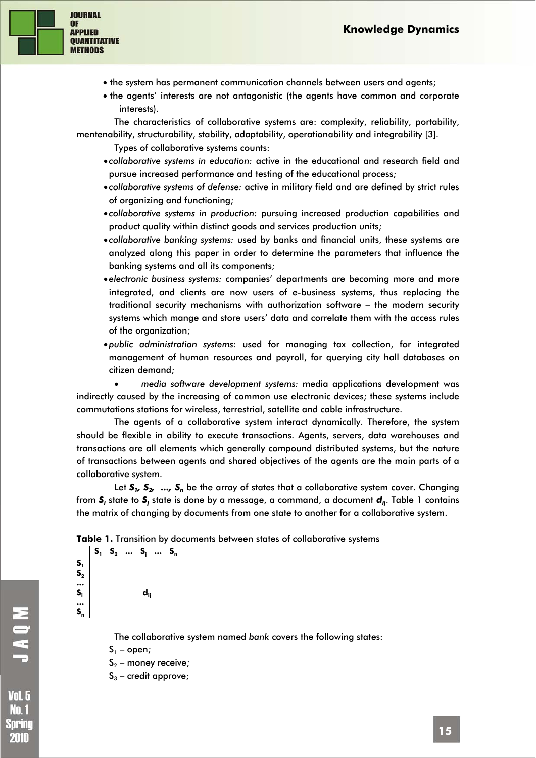

- the system has permanent communication channels between users and agents;
- the agents' interests are not antagonistic (the agents have common and corporate interests).

The characteristics of collaborative systems are: complexity, reliability, portability, mentenability, structurability, stability, adaptability, operationability and integrability [3].

Types of collaborative systems counts:

- *collaborative systems in education:* active in the educational and research field and pursue increased performance and testing of the educational process;
- *collaborative systems of defense:* active in military field and are defined by strict rules of organizing and functioning;
- *collaborative systems in production:* pursuing increased production capabilities and product quality within distinct goods and services production units;
- *collaborative banking systems:* used by banks and financial units, these systems are analyzed along this paper in order to determine the parameters that influence the banking systems and all its components;
- *electronic business systems:* companies' departments are becoming more and more integrated, and clients are now users of e-business systems, thus replacing the traditional security mechanisms with authorization software – the modern security systems which mange and store users' data and correlate them with the access rules of the organization;
- •*public administration systems:* used for managing tax collection, for integrated management of human resources and payroll, for querying city hall databases on citizen demand;

• *media software development systems:* media applications development was indirectly caused by the increasing of common use electronic devices; these systems include commutations stations for wireless, terrestrial, satellite and cable infrastructure.

The agents of a collaborative system interact dynamically. Therefore, the system should be flexible in ability to execute transactions. Agents, servers, data warehouses and transactions are all elements which generally compound distributed systems, but the nature of transactions between agents and shared objectives of the agents are the main parts of a collaborative system.

Let  $S_1$ ,  $S_2$ , ...,  $S_n$  be the array of states that a collaborative system cover. Changing from **S**, state to **S**, state is done by a message, a command, a document **d**<sub>ij</sub>. Table 1 contains the matrix of changing by documents from one state to another for a collaborative system.

**Table 1.** Transition by documents between states of collaborative systems

**S**<sub>1</sub> **S**<sub>2</sub> ... **S**<sub>1</sub> ... **S**<sub>n</sub>  $\overline{\mathbf{S}}_1$  $S<sub>2</sub>$ **... Si ...**   $S_n$  **dij**

The collaborative system named *bank* covers the following states:

 $S_1$  – open;

 $S_2$  – money receive;

 $S_3$  – credit approve;

Nn. 1 Spring 2010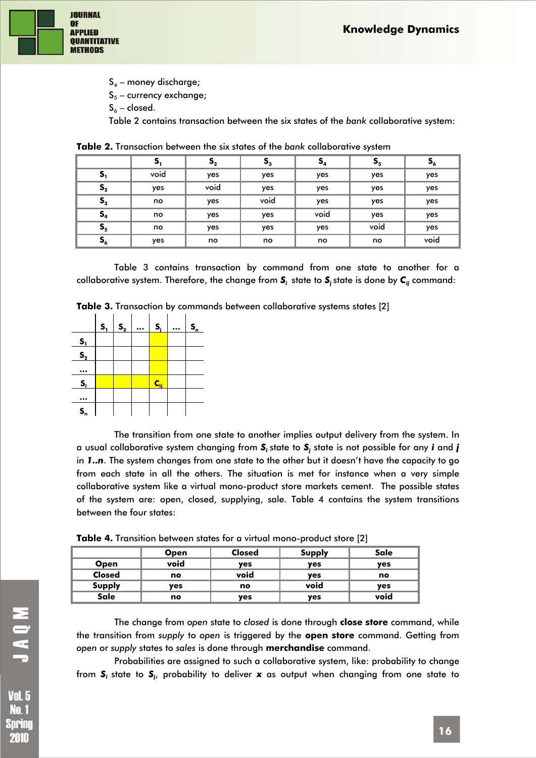

 $S_4$  – money discharge;  $S_5$  – currency exchange;  $S_6$  – closed.

Table 2 contains transaction between the six states of the *bank* collaborative system:

|                | $S_{1}$ | $\mathsf{s}_{\scriptscriptstyle 2}$ | $S_{3}$ | $S_4$ | $S_{5}$ | ್ಯ   |
|----------------|---------|-------------------------------------|---------|-------|---------|------|
| S <sub>1</sub> | void    | yes                                 | yes     | yes   | yes     | yes  |
| $S_{2}$        | yes     | void                                | yes     | yes   | yes     | yes  |
| $S_{3}$        | no      | yes                                 | void    | yes   | yes     | yes  |
| $S_4$          | no      | yes                                 | yes     | void  | yes     | yes  |
| $S_{5}$        | no      | yes                                 | yes     | yes   | void    | yes  |
| $S_6$          | yes     | no                                  | no      | no    | no      | void |

**Table 2.** Transaction between the six states of the *bank* collaborative system

Table 3 contains transaction by command from one state to another for a collaborative system. Therefore, the change from *Si* state to *Sj* state is done by *Cij* command:

**Table 3.** Transaction by commands between collaborative systems states [2]



The transition from one state to another implies output delivery from the system. In a usual collaborative system changing from *Si* state to *Sj* state is not possible for any *i* and *j* in *1..n*. The system changes from one state to the other but it doesn't have the capacity to go from each state in all the others. The situation is met for instance when a very simple collaborative system like a virtual mono-product store markets cement. The possible states of the system are: open, closed, supplying, sale. Table 4 contains the system transitions between the four states:

**Table 4.** Transition between states for a virtual mono-product store [2]

|               | <b>Open</b> | <b>Closed</b> | Supply | Sale |
|---------------|-------------|---------------|--------|------|
| <b>Open</b>   | void        | yes           | yes    | yes  |
| <b>Closed</b> | no          | void          | yes    | no   |
| <b>Supply</b> | ves         | no            | void   | yes  |
| Sale          | no          | yes           | yes    | void |

The change from *open* state to *closed* is done through **close store** command, while the transition from *supply* to *open* is triggered by the **open store** command. Getting from *open* or *supply* states to *sales* is done through **merchandise** command.

Probabilities are assigned to such a collaborative system, like: probability to change from *Si* state to *Sj* , probability to deliver *x* as output when changing from one state to

No. 1 Sprinc 2010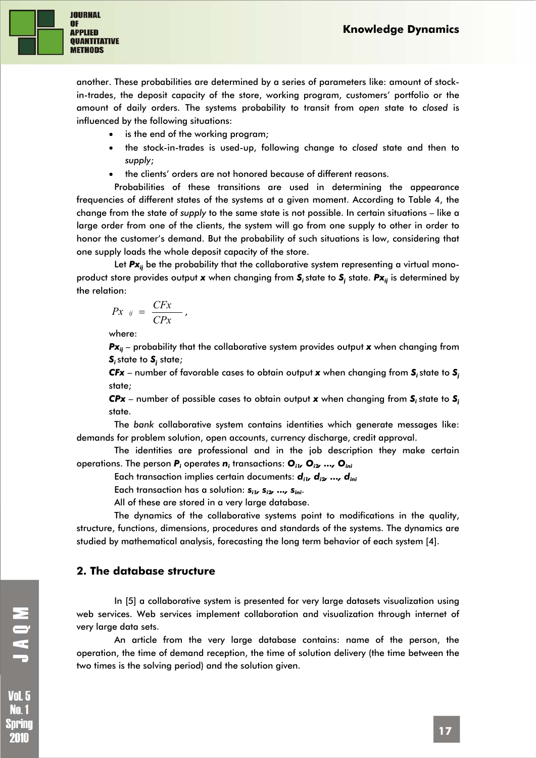

another. These probabilities are determined by a series of parameters like: amount of stockin-trades, the deposit capacity of the store, working program, customers' portfolio or the amount of daily orders. The systems probability to transit from *open* state to *closed* is influenced by the following situations:

- is the end of the working program;
- the stock-in-trades is used-up, following change to *closed* state and then to *supply*;
- the clients' orders are not honored because of different reasons.

Probabilities of these transitions are used in determining the appearance frequencies of different states of the systems at a given moment. According to Table 4, the change from the state of *supply* to the same state is not possible. In certain situations – like a large order from one of the clients, the system will go from one supply to other in order to honor the customer's demand. But the probability of such situations is low, considering that one supply loads the whole deposit capacity of the store.

Let **Px**<sub>ij</sub> be the probability that the collaborative system representing a virtual monoproduct store provides output **x** when changing from **S**, state to **S**, state. **Px**<sub>ij</sub> is determined by the relation:

$$
Px_{ij} = \frac{CFx}{CPx},
$$

where:

*Px<sub>ii</sub>* – probability that the collaborative system provides output *x* when changing from  $\boldsymbol{\mathsf{S}}_{i}$  state;

*CFx* – number of favorable cases to obtain output *x* when changing from *Si* state to *Sj* state;

*CPx* – number of possible cases to obtain output *x* when changing from *Si* state to *Sj* state.

The *bank* collaborative system contains identities which generate messages like: demands for problem solution, open accounts, currency discharge, credit approval.

The identities are professional and in the job description they make certain operations. The person *Pi* operates *ni* transactions: *Oi1, Oi2, ..., Oini*

Each transaction implies certain documents:  $d_{i\nu} d_{i\nu} ... d_{ini}$ 

Each transaction has a solution:  $s_{ij}$ ,  $s_{ij}$ , ...,  $s_{ini}$ .

All of these are stored in a very large database.

The dynamics of the collaborative systems point to modifications in the quality, structure, functions, dimensions, procedures and standards of the systems. The dynamics are studied by mathematical analysis, forecasting the long term behavior of each system [4].

#### **2. The database structure**

In [5] a collaborative system is presented for very large datasets visualization using web services. Web services implement collaboration and visualization through internet of very large data sets.

An article from the very large database contains: name of the person, the operation, the time of demand reception, the time of solution delivery (the time between the two times is the solving period) and the solution given.

MOVT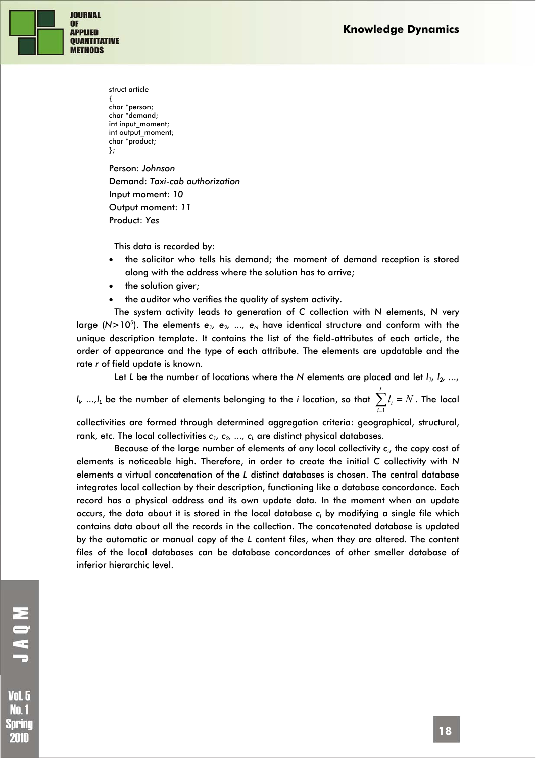

struct article { char \*person; char \*demand; int input\_moment: int output\_moment; char \*product; }; Person: *Johnson* Demand: *Taxi-cab authorization* 

Input moment: *10* Output moment: *11*  Product: *Yes*

This data is recorded by:

- the solicitor who tells his demand; the moment of demand reception is stored along with the address where the solution has to arrive;
- the solution giver;
- the auditor who verifies the quality of system activity.

The system activity leads to generation of *C* collection with *N* elements, *N* very large (N>10<sup>5</sup>). The elements e<sub>1</sub>, e<sub>2</sub>, ..., e<sub>N</sub> have identical structure and conform with the unique description template. It contains the list of the field-attributes of each article, the order of appearance and the type of each attribute. The elements are updatable and the rate *r* of field update is known.

Let *L* be the number of locations where the *N* elements are placed and let  $I_1$ ,  $I_2$ , ...,

 $I_{i\prime}$  ..., $I_{L}$  be the number of elements belonging to the *i* location, so that  $\sum_{i=1}^{n}I_{i}=1$ *L i*  $l_i = N$ 1 . The local

collectivities are formed through determined aggregation criteria: geographical, structural, rank, etc. The local collectivities  $c_1, c_2, ..., c_k$  are distinct physical databases.

Because of the large number of elements of any local collectivity *ci* , the copy cost of elements is noticeable high. Therefore, in order to create the initial *C* collectivity with *N* elements a virtual concatenation of the *L* distinct databases is chosen. The central database integrates local collection by their description, functioning like a database concordance. Each record has a physical address and its own update data. In the moment when an update occurs, the data about it is stored in the local database *ci* by modifying a single file which contains data about all the records in the collection. The concatenated database is updated by the automatic or manual copy of the *L* content files, when they are altered. The content files of the local databases can be database concordances of other smeller database of inferior hierarchic level.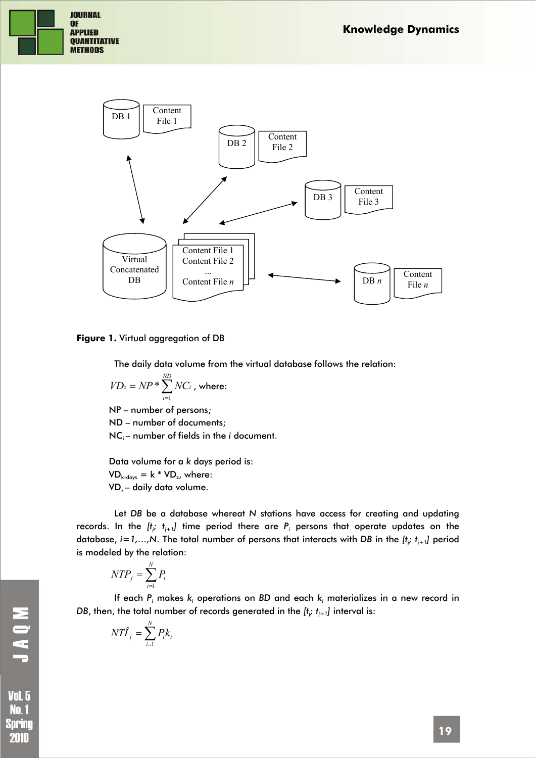



#### **Figure 1.** Virtual aggregation of DB

The daily data volume from the virtual database follows the relation:

$$
VD_z = NP * \sum_{i=1}^{ND} NC_i
$$
, where:

NP – number of persons; ND – number of documents;  $NC_i$  – number of fields in the *i* document.

Data volume for a *k* days period is:  $VD_{k\text{-days}} = k * VD_z$ , where: VD<sub>z</sub> - daily data volume.

Let *DB* be a database whereat *N* stations have access for creating and updating records. In the  $[t_{i}, t_{i+1}]$  time period there are  $P_i$  persons that operate updates on the database,  $i = 1,...,N$ . The total number of persons that interacts with *DB* in the  $[t_i, t_{i+1}]$  period is modeled by the relation:

$$
NTP_j = \sum_{i=1}^N P_i
$$

If each *Pi* makes *ki* operations on *BD* and each *ki* materializes in a new record in *DB,* then, the total number of records generated in the  $[t_{i'}\; t_{i+1}]$  interval is:

$$
NT\hat{I}_j = \sum_{i=1}^N P_i k_i
$$

**Vol. 5** No. 1 Spring 2010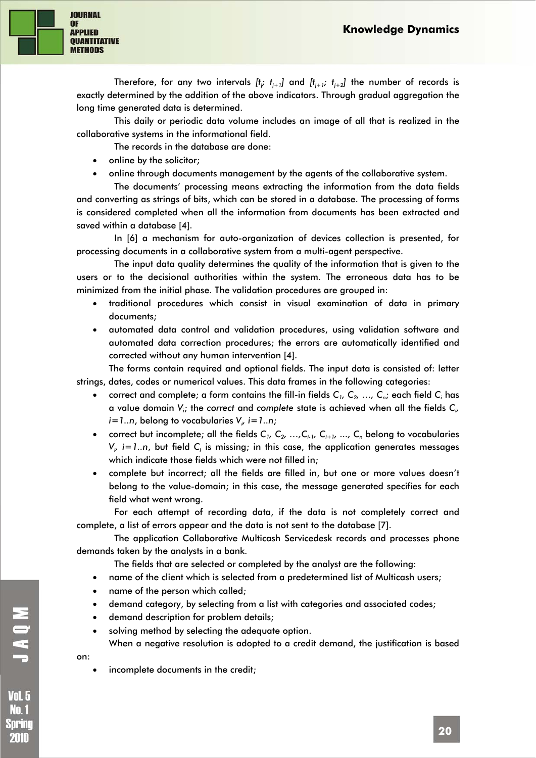

Therefore, for any two intervals  $[t_{i}, t_{i+1}]$  and  $[t_{i+1}, t_{i+2}]$  the number of records is exactly determined by the addition of the above indicators. Through gradual aggregation the long time generated data is determined.

This daily or periodic data volume includes an image of all that is realized in the collaborative systems in the informational field.

The records in the database are done:

- online by the solicitor;
- online through documents management by the agents of the collaborative system.

The documents' processing means extracting the information from the data fields and converting as strings of bits, which can be stored in a database. The processing of forms is considered completed when all the information from documents has been extracted and saved within a database [4].

In [6] a mechanism for auto-organization of devices collection is presented, for processing documents in a collaborative system from a multi-agent perspective.

The input data quality determines the quality of the information that is given to the users or to the decisional authorities within the system. The erroneous data has to be minimized from the initial phase. The validation procedures are grouped in:

- traditional procedures which consist in visual examination of data in primary documents;
- automated data control and validation procedures, using validation software and automated data correction procedures; the errors are automatically identified and corrected without any human intervention [4].

The forms contain required and optional fields. The input data is consisted of: letter strings, dates, codes or numerical values. This data frames in the following categories:

- correct and complete; a form contains the fill-in fields  $C_1, C_2, ..., C_n$ ; each field  $C_i$  has a value domain  $V_{i}$ ; the correct and complete state is achieved when all the fields  $C_{\nu}$ *i=1..n*, belong to vocabularies *Vi , i=1..n*;
- correct but incomplete; all the fields  $C_1$ ,  $C_2$ , ...,  $C_{i+1}$ ,  $C_{i+1}$ , ...,  $C_n$  belong to vocabularies *V<sub>i</sub>, i=1..n,* but field *C<sub>i</sub>* is missing; in this case, the application generates messages which indicate those fields which were not filled in;
- complete but incorrect; all the fields are filled in, but one or more values doesn't belong to the value-domain; in this case, the message generated specifies for each field what went wrong.

For each attempt of recording data, if the data is not completely correct and complete, a list of errors appear and the data is not sent to the database [7].

The application Collaborative Multicash Servicedesk records and processes phone demands taken by the analysts in a bank.

The fields that are selected or completed by the analyst are the following:

- name of the client which is selected from a predetermined list of Multicash users;
- name of the person which called;
- demand category, by selecting from a list with categories and associated codes;
- demand description for problem details;
- solving method by selecting the adequate option. When a negative resolution is adopted to a credit demand, the justification is based

on:

UAON.

**Vol. 5** No. 1 Spring 2010

incomplete documents in the credit;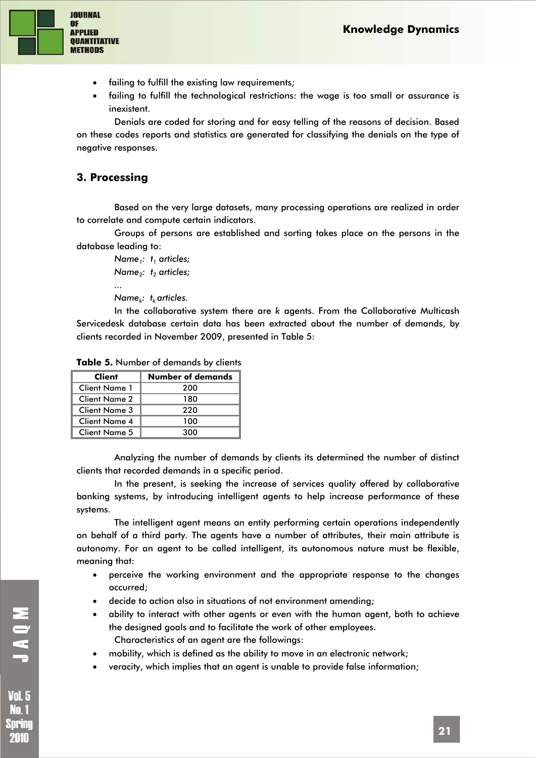

- failing to fulfill the existing law requirements;
- failing to fulfill the technological restrictions: the wage is too small or assurance is inexistent.

Denials are coded for storing and for easy telling of the reasons of decision. Based on these codes reports and statistics are generated for classifying the denials on the type of negative responses.

## **3. Processing**

Based on the very large datasets, many processing operations are realized in order to correlate and compute certain indicators.

Groups of persons are established and sorting takes place on the persons in the database leading to:

*Name<sub>1</sub>*: t<sub>1</sub> articles; *Name<sub>2</sub>: t<sub>2</sub> articles; ... Name<sub>k</sub>*: t<sub>k</sub> articles.

In the collaborative system there are *k* agents. From the Collaborative Multicash Servicedesk database certain data has been extracted about the number of demands, by clients recorded in November 2009, presented in Table 5:

| Table 5. Number of demands by clients |  |  |
|---------------------------------------|--|--|
| ar Inreal Communications              |  |  |

| Client        | <b>Number of demands</b> |
|---------------|--------------------------|
| Client Name 1 | 200                      |
| Client Name 2 | 180                      |
| Client Name 3 | 220                      |
| Client Name 4 | 100                      |
| Client Name 5 | 300                      |

Analyzing the number of demands by clients its determined the number of distinct clients that recorded demands in a specific period.

In the present, is seeking the increase of services quality offered by collaborative banking systems, by introducing intelligent agents to help increase performance of these systems.

The intelligent agent means an entity performing certain operations independently on behalf of a third party. The agents have a number of attributes, their main attribute is autonomy. For an agent to be called intelligent, its autonomous nature must be flexible, meaning that:

- perceive the working environment and the appropriate response to the changes occurred;
- decide to action also in situations of not environment amending;
- ability to interact with other agents or even with the human agent, both to achieve the designed goals and to facilitate the work of other employees. Characteristics of an agent are the followings:
- mobility, which is defined as the ability to move in an electronic network;
- veracity, which implies that an agent is unable to provide false information;

MOKT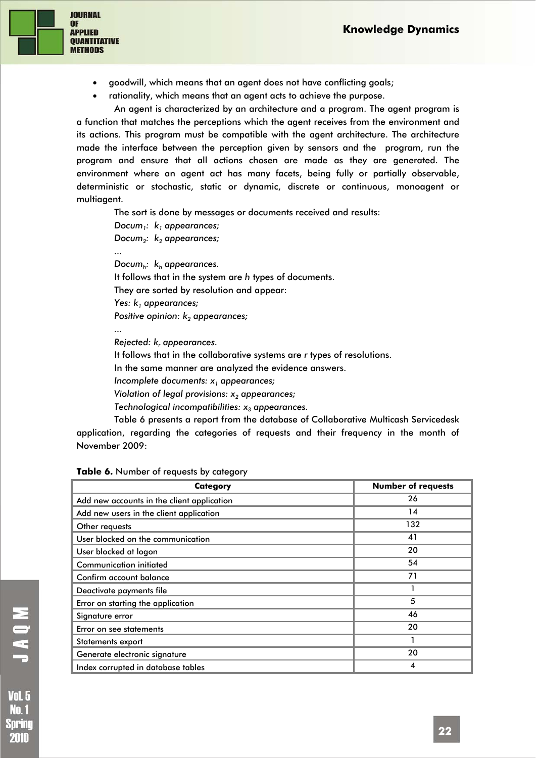

- goodwill, which means that an agent does not have conflicting goals;
- rationality, which means that an agent acts to achieve the purpose.

An agent is characterized by an architecture and a program. The agent program is a function that matches the perceptions which the agent receives from the environment and its actions. This program must be compatible with the agent architecture. The architecture made the interface between the perception given by sensors and the program, run the program and ensure that all actions chosen are made as they are generated. The environment where an agent act has many facets, being fully or partially observable, deterministic or stochastic, static or dynamic, discrete or continuous, monoagent or multiagent.

The sort is done by messages or documents received and results:

*Docum<sub>1</sub>:*  $k_1$  appearances; *Docum<sub>2</sub>:*  $k_2$  appearances; *... Documh: kh appearances.*  It follows that in the system are *h* types of documents. They are sorted by resolution and appear: Yes:  $k_1$  appearances; *Positive opinion: k<sub>2</sub> appearances; ...* 

*Rejected: k, appearances.* 

It follows that in the collaborative systems are *r* types of resolutions.

In the same manner are analyzed the evidence answers.

*Incomplete documents: x1 appearances;* 

*Violation of legal provisions: x<sub>2</sub> appearances;* 

*Technological incompatibilities:*  $x_3$  appearances.

Table 6 presents a report from the database of Collaborative Multicash Servicedesk application, regarding the categories of requests and their frequency in the month of November 2009:

| Table 6. Number of requests by category |  |  |  |  |
|-----------------------------------------|--|--|--|--|
|-----------------------------------------|--|--|--|--|

| <b>Category</b>                            | <b>Number of requests</b> |
|--------------------------------------------|---------------------------|
| Add new accounts in the client application | 26                        |
| Add new users in the client application    | 14                        |
| Other requests                             | 132                       |
| User blocked on the communication          | 41                        |
| User blocked at logon                      | 20                        |
| <b>Communication initiated</b>             | 54                        |
| Confirm account balance                    | 71                        |
| Deactivate payments file                   |                           |
| Error on starting the application          | 5                         |
| Signature error                            | 46                        |
| Error on see statements                    | 20                        |
| Statements export                          |                           |
| Generate electronic signature              | 20                        |
| Index corrupted in database tables         | 4                         |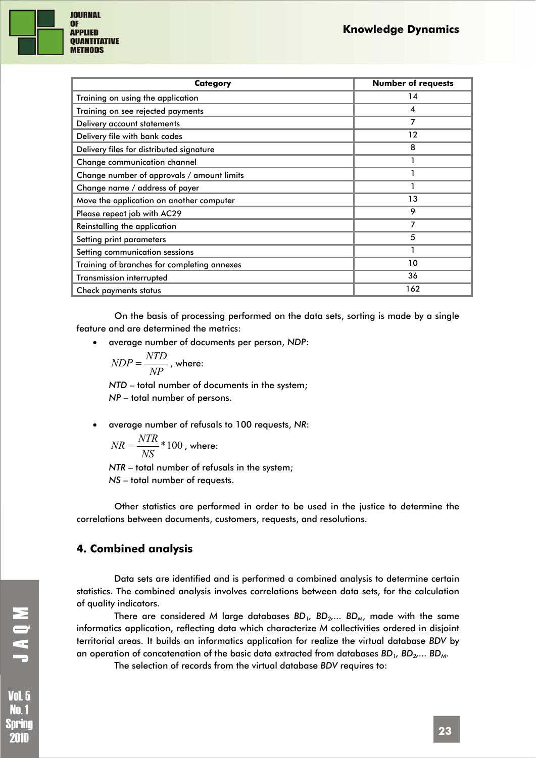

| <b>Category</b>                             | <b>Number of requests</b> |
|---------------------------------------------|---------------------------|
| Training on using the application           | 14                        |
| Training on see rejected payments           | 4                         |
| Delivery account statements                 |                           |
| Delivery file with bank codes               | 12                        |
| Delivery files for distributed signature    | 8                         |
| Change communication channel                |                           |
| Change number of approvals / amount limits  |                           |
| Change name / address of payer              |                           |
| Move the application on another computer    | 13                        |
| Please repeat job with AC29                 | 9                         |
| Reinstalling the application                | 7                         |
| Setting print parameters                    | 5                         |
| Setting communication sessions              |                           |
| Training of branches for completing annexes | 10                        |
| <b>Transmission interrupted</b>             | 36                        |
| Check payments status                       | 162                       |

On the basis of processing performed on the data sets, sorting is made by a single feature and are determined the metrics:

• average number of documents per person, *NDP*:

$$
NDP = \frac{NTD}{NP}
$$
, where:

*NTD* – total number of documents in the system; *NP* – total number of persons.

• average number of refusals to 100 requests, *NR*:

$$
NR = \frac{NTR}{NS} * 100
$$
, where:

*NTR* – total number of refusals in the system; *NS* – total number of requests.

Other statistics are performed in order to be used in the justice to determine the correlations between documents, customers, requests, and resolutions.

## **4. Combined analysis**

Data sets are identified and is performed a combined analysis to determine certain statistics. The combined analysis involves correlations between data sets, for the calculation of quality indicators.

There are considered *M* large databases  $BD_1$ ,  $BD_2$ ....  $BD_M$ , made with the same informatics application, reflecting data which characterize *M* collectivities ordered in disjoint territorial areas. It builds an informatics application for realize the virtual database *BDV* by an operation of concatenation of the basic data extracted from databases  $BD_1$ ,  $BD_2$ ....  $BD_M$ .

The selection of records from the virtual database *BDV* requires to:

**Vol. 5** No. 1 Sprinc 2010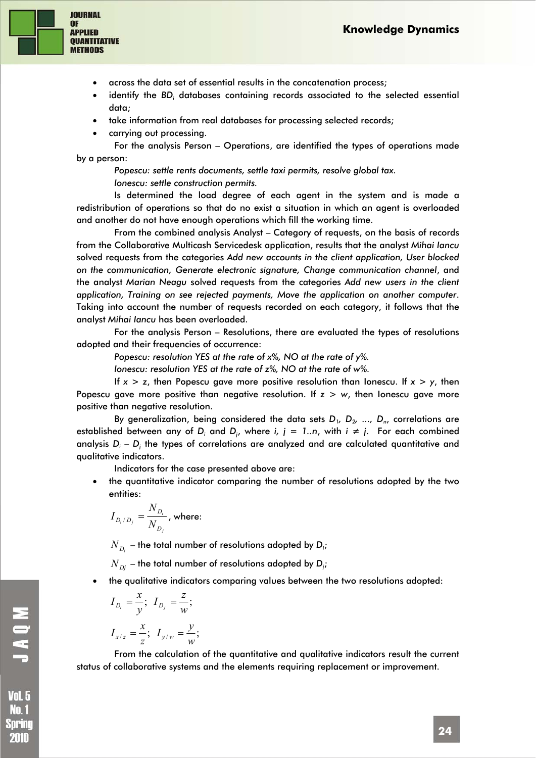

- across the data set of essential results in the concatenation process;
- identify the BD<sub>i</sub> databases containing records associated to the selected essential data;
- take information from real databases for processing selected records;
- carrying out processing.

For the analysis Person – Operations, are identified the types of operations made by a person:

*Popescu: settle rents documents, settle taxi permits, resolve global tax. Ionescu: settle construction permits.* 

Is determined the load degree of each agent in the system and is made a redistribution of operations so that do no exist a situation in which an agent is overloaded and another do not have enough operations which fill the working time.

From the combined analysis Analyst – Category of requests, on the basis of records from the Collaborative Multicash Servicedesk application, results that the analyst *Mihai Iancu* solved requests from the categories *Add new accounts in the client application, User blocked on the communication, Generate electronic signature, Change communication channel*, and the analyst *Marian Neagu* solved requests from the categories *Add new users in the client application, Training on see rejected payments, Move the application on another computer*. Taking into account the number of requests recorded on each category, it follows that the analyst *Mihai Iancu* has been overloaded.

For the analysis Person – Resolutions, there are evaluated the types of resolutions adopted and their frequencies of occurrence:

*Popescu: resolution YES at the rate of x%, NO at the rate of y%.* 

*Ionescu: resolution YES at the rate of z%, NO at the rate of w%.* 

If *x > z*, then Popescu gave more positive resolution than Ionescu. If *x > y*, then Popescu gave more positive than negative resolution. If *z > w*, then Ionescu gave more positive than negative resolution.

By generalization, being considered the data sets  $D_1$ ,  $D_2$ , ...,  $D_n$ , correlations are established between any of *D*<sub>i</sub> and *D*<sub>i</sub>, where *i, j* = 1..n, with *i* ≠ *j*. For each combined analysis D<sub>i</sub> – D<sub>i</sub> the types of correlations are analyzed and are calculated quantitative and qualitative indicators.

Indicators for the case presented above are:

• the quantitative indicator comparing the number of resolutions adopted by the two entities:

$$
I_{D_i/D_j}=\frac{N_{D_i}}{N_{D_j}}\text{, where: }
$$

 $N_{\vert D_i \vert}$  – the total number of resolutions adopted by  $\boldsymbol{D_i}$ ;

 $N_{\left\langle D\right\rangle }$  – the total number of resolutions adopted by  $\mathsf{D}_{\boldsymbol{j}}$ ;

• the qualitative indicators comparing values between the two resolutions adopted:

$$
I_{D_i} = \frac{x}{y}; I_{D_j} = \frac{z}{w};
$$
  

$$
I_{x/z} = \frac{x}{z}; I_{y/w} = \frac{y}{w};
$$

From the calculation of the quantitative and qualitative indicators result the current status of collaborative systems and the elements requiring replacement or improvement.

MONT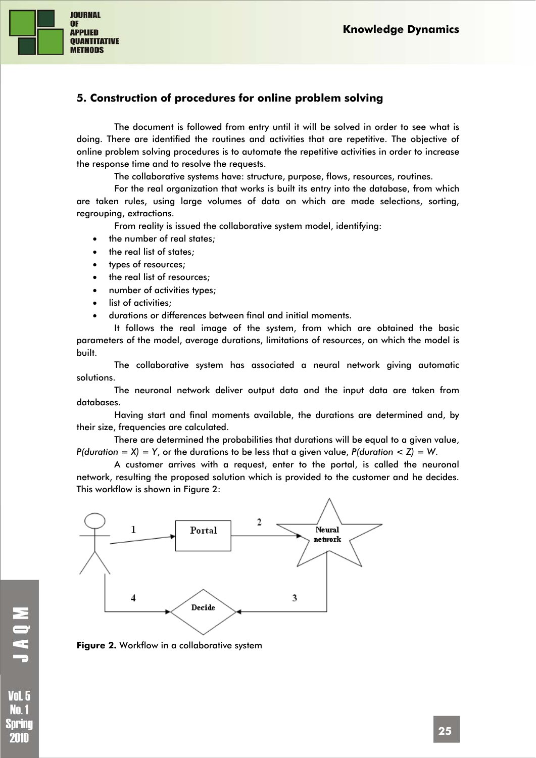

## **5. Construction of procedures for online problem solving**

The document is followed from entry until it will be solved in order to see what is doing. There are identified the routines and activities that are repetitive. The objective of online problem solving procedures is to automate the repetitive activities in order to increase the response time and to resolve the requests.

The collaborative systems have: structure, purpose, flows, resources, routines.

For the real organization that works is built its entry into the database, from which are taken rules, using large volumes of data on which are made selections, sorting, regrouping, extractions.

From reality is issued the collaborative system model, identifying:

- the number of real states;
- the real list of states;
- types of resources;
- the real list of resources;
- number of activities types;
- list of activities:
- durations or differences between final and initial moments.

It follows the real image of the system, from which are obtained the basic parameters of the model, average durations, limitations of resources, on which the model is built.

The collaborative system has associated a neural network giving automatic solutions.

The neuronal network deliver output data and the input data are taken from databases.

Having start and final moments available, the durations are determined and, by their size, frequencies are calculated.

There are determined the probabilities that durations will be equal to a given value, *P(duration = X) = Y*, or the durations to be less that a given value, *P(duration < Z) = W*.

A customer arrives with a request, enter to the portal, is called the neuronal network, resulting the proposed solution which is provided to the customer and he decides. This workflow is shown in Figure 2:



**Figure 2.** Workflow in a collaborative system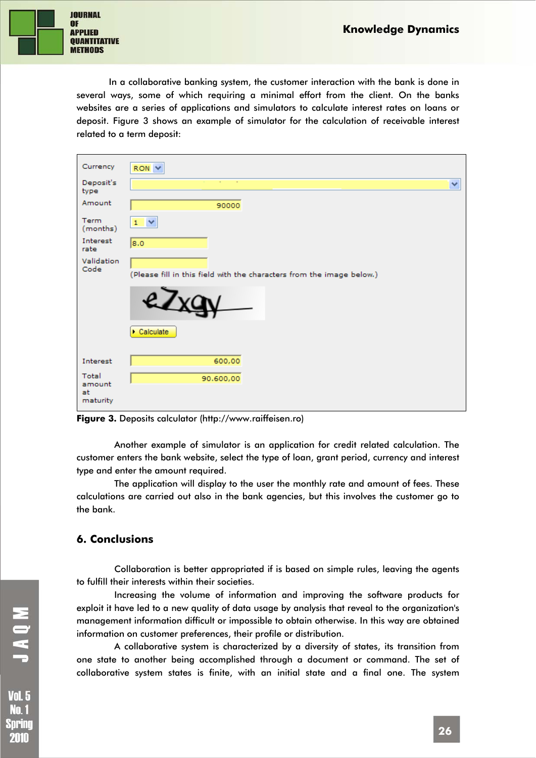

In a collaborative banking system, the customer interaction with the bank is done in several ways, some of which requiring a minimal effort from the client. On the banks websites are a series of applications and simulators to calculate interest rates on loans or deposit. Figure 3 shows an example of simulator for the calculation of receivable interest related to a term deposit:

| Currency                          | RON Y                                                                 |
|-----------------------------------|-----------------------------------------------------------------------|
| Deposit's<br>type                 | $\sim$<br>×                                                           |
| Amount                            | 90000                                                                 |
| Term<br>(months)                  | $1 \vee$                                                              |
| Interest<br>rate                  | 8.0                                                                   |
| Validation<br>Code                | (Please fill in this field with the characters from the image below.) |
|                                   |                                                                       |
|                                   | $\triangleright$ Calculate                                            |
| Interest                          | 600,00                                                                |
| Total<br>amount<br>at<br>maturity | 90.600,00                                                             |

**Figure 3.** Deposits calculator (http://www.raiffeisen.ro)

Another example of simulator is an application for credit related calculation. The customer enters the bank website, select the type of loan, grant period, currency and interest type and enter the amount required.

The application will display to the user the monthly rate and amount of fees. These calculations are carried out also in the bank agencies, but this involves the customer go to the bank.

## **6. Conclusions**

Collaboration is better appropriated if is based on simple rules, leaving the agents to fulfill their interests within their societies.

Increasing the volume of information and improving the software products for exploit it have led to a new quality of data usage by analysis that reveal to the organization's management information difficult or impossible to obtain otherwise. In this way are obtained information on customer preferences, their profile or distribution.

A collaborative system is characterized by a diversity of states, its transition from one state to another being accomplished through a document or command. The set of collaborative system states is finite, with an initial state and a final one. The system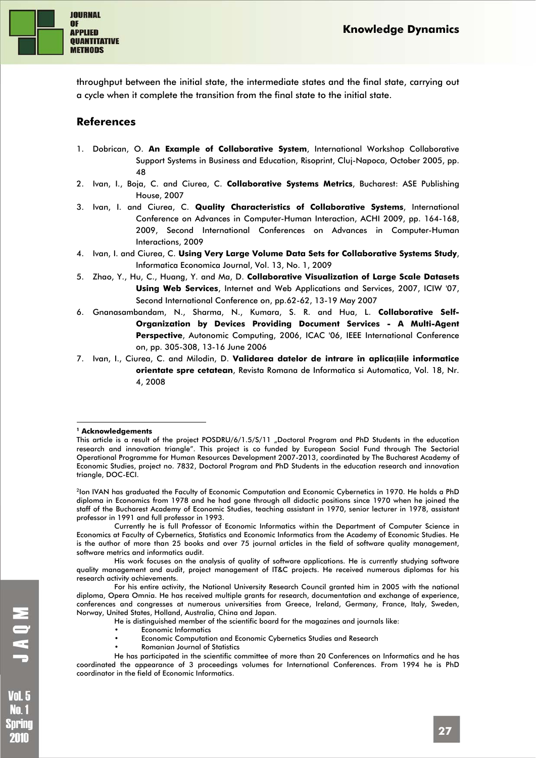

throughput between the initial state, the intermediate states and the final state, carrying out a cycle when it complete the transition from the final state to the initial state.

### **References**

- 1. Dobrican, O. **An Example of Collaborative System**, International Workshop Collaborative Support Systems in Business and Education, Risoprint, Cluj-Napoca, October 2005, pp. 48
- 2. Ivan, I., Boja, C. and Ciurea, C. **Collaborative Systems Metrics**, Bucharest: ASE Publishing House, 2007
- 3. Ivan, I. and Ciurea, C. **Quality Characteristics of Collaborative Systems**, International Conference on Advances in Computer-Human Interaction, ACHI 2009, pp. 164-168, 2009, Second International Conferences on Advances in Computer-Human Interactions, 2009
- 4. Ivan, I. and Ciurea, C. **Using Very Large Volume Data Sets for Collaborative Systems Study**, Informatica Economica Journal, Vol. 13, No. 1, 2009
- 5. Zhao, Y., Hu, C., Huang, Y. and Ma, D. **Collaborative Visualization of Large Scale Datasets Using Web Services**, Internet and Web Applications and Services, 2007, ICIW '07, Second International Conference on, pp.62-62, 13-19 May 2007
- 6. Gnanasambandam, N., Sharma, N., Kumara, S. R. and Hua, L. **Collaborative Self-Organization by Devices Providing Document Services - A Multi-Agent Perspective**, Autonomic Computing, 2006, ICAC '06, IEEE International Conference on, pp. 305-308, 13-16 June 2006
- 7. Ivan, I., Ciurea, C. and Milodin, D. **Validarea datelor de intrare în aplicaţiile informatice orientate spre cetatean**, Revista Romana de Informatica si Automatica, Vol. 18, Nr. 4, 2008

#### 1 **1 Acknowledgements**

<sup>2</sup>Ion IVAN has graduated the Faculty of Economic Computation and Economic Cybernetics in 1970. He holds a PhD diploma in Economics from 1978 and he had gone through all didactic positions since 1970 when he joined the staff of the Bucharest Academy of Economic Studies, teaching assistant in 1970, senior lecturer in 1978, assistant professor in 1991 and full professor in 1993.

Currently he is full Professor of Economic Informatics within the Department of Computer Science in Economics at Faculty of Cybernetics, Statistics and Economic Informatics from the Academy of Economic Studies. He is the author of more than 25 books and over 75 journal articles in the field of software quality management, software metrics and informatics audit.

His work focuses on the analysis of quality of software applications. He is currently studying software quality management and audit, project management of IT&C projects. He received numerous diplomas for his research activity achievements.

For his entire activity, the National University Research Council granted him in 2005 with the national diploma, Opera Omnia. He has received multiple grants for research, documentation and exchange of experience, conferences and congresses at numerous universities from Greece, Ireland, Germany, France, Italy, Sweden, Norway, United States, Holland, Australia, China and Japan.

- He is distinguished member of the scientific board for the magazines and journals like:
- Economic Informatics
- Economic Computation and Economic Cybernetics Studies and Research
- Romanian Journal of Statistics

He has participated in the scientific committee of more than 20 Conferences on Informatics and he has coordinated the appearance of 3 proceedings volumes for International Conferences. From 1994 he is PhD coordinator in the field of Economic Informatics.

This article is a result of the project POSDRU/6/1.5/S/11 "Doctoral Program and PhD Students in the education research and innovation triangle". This project is co funded by European Social Fund through The Sectorial Operational Programme for Human Resources Development 2007-2013, coordinated by The Bucharest Academy of Economic Studies, project no. 7832, Doctoral Program and PhD Students in the education research and innovation triangle, DOC-ECI.